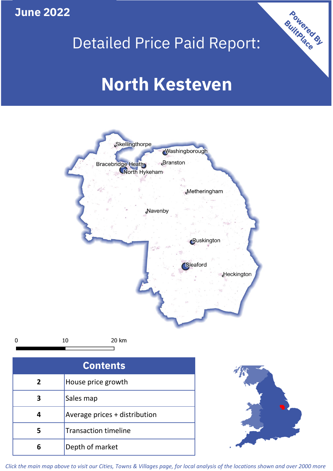**June 2022**

## Detailed Price Paid Report:

# **North Kesteven**



 $\mathbf 0$ 

20 km

| <b>Contents</b> |                               |  |  |
|-----------------|-------------------------------|--|--|
| $\overline{2}$  | House price growth            |  |  |
| 3               | Sales map                     |  |  |
|                 | Average prices + distribution |  |  |
| 5               | <b>Transaction timeline</b>   |  |  |
| 6               | Depth of market               |  |  |



Powered By

*Click the main map above to visit our Cities, Towns & Villages page, for local analysis of the locations shown and over 2000 more*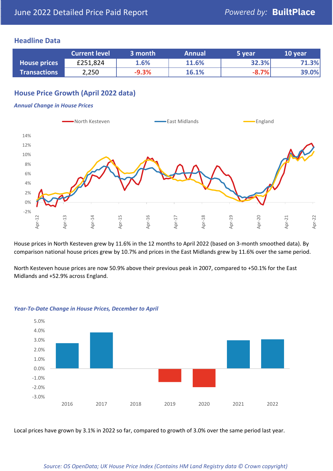#### **Headline Data**

|                     | <b>Current level</b> | 3 month | <b>Annual</b> | 5 year  | 10 year |
|---------------------|----------------------|---------|---------------|---------|---------|
| <b>House prices</b> | £251,824             | 1.6%    | 11.6%         | 32.3%   | 71.3%   |
| <b>Transactions</b> | 2,250                | $-9.3%$ | 16.1%         | $-8.7%$ | 39.0%   |

### **House Price Growth (April 2022 data)**

#### *Annual Change in House Prices*



House prices in North Kesteven grew by 11.6% in the 12 months to April 2022 (based on 3-month smoothed data). By comparison national house prices grew by 10.7% and prices in the East Midlands grew by 11.6% over the same period.

North Kesteven house prices are now 50.9% above their previous peak in 2007, compared to +50.1% for the East Midlands and +52.9% across England.



#### *Year-To-Date Change in House Prices, December to April*

Local prices have grown by 3.1% in 2022 so far, compared to growth of 3.0% over the same period last year.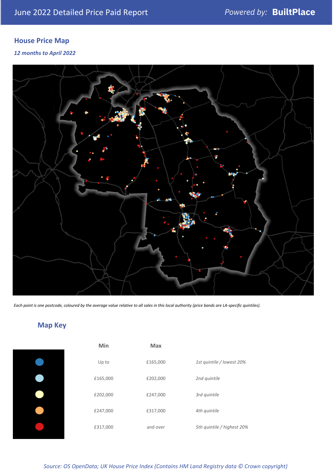### **House Price Map**

#### *12 months to April 2022*



*Each point is one postcode, coloured by the average value relative to all sales in this local authority (price bands are LA-specific quintiles).*

### **Map Key**

| Min      | <b>Max</b> |                            |
|----------|------------|----------------------------|
| Up to    | £165,000   | 1st quintile / lowest 20%  |
| £165,000 | £202,000   | 2nd quintile               |
| £202,000 | £247,000   | 3rd quintile               |
| £247,000 | £317,000   | 4th quintile               |
| £317,000 | and over   | 5th quintile / highest 20% |
|          |            |                            |

*Source: OS OpenData; UK House Price Index (Contains HM Land Registry data © Crown copyright)*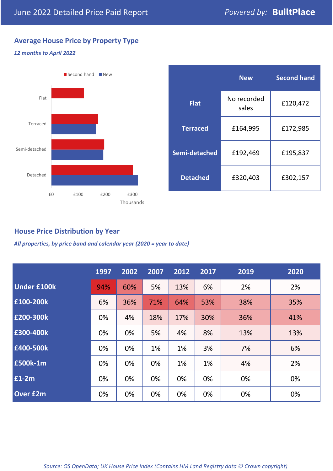### **Average House Price by Property Type**

#### *12 months to April 2022*



|                 | <b>New</b>           | <b>Second hand</b> |  |
|-----------------|----------------------|--------------------|--|
| <b>Flat</b>     | No recorded<br>sales | £120,472           |  |
| <b>Terraced</b> | £164,995             | £172,985           |  |
| Semi-detached   | £192,469             | £195,837           |  |
| <b>Detached</b> | £320,403             | £302,157           |  |

#### **House Price Distribution by Year**

*All properties, by price band and calendar year (2020 = year to date)*

|                    | 1997 | 2002 | 2007 | 2012 | 2017 | 2019 | 2020 |
|--------------------|------|------|------|------|------|------|------|
| <b>Under £100k</b> | 94%  | 60%  | 5%   | 13%  | 6%   | 2%   | 2%   |
| £100-200k          | 6%   | 36%  | 71%  | 64%  | 53%  | 38%  | 35%  |
| E200-300k          | 0%   | 4%   | 18%  | 17%  | 30%  | 36%  | 41%  |
| £300-400k          | 0%   | 0%   | 5%   | 4%   | 8%   | 13%  | 13%  |
| £400-500k          | 0%   | 0%   | 1%   | 1%   | 3%   | 7%   | 6%   |
| <b>£500k-1m</b>    | 0%   | 0%   | 0%   | 1%   | 1%   | 4%   | 2%   |
| £1-2m              | 0%   | 0%   | 0%   | 0%   | 0%   | 0%   | 0%   |
| <b>Over £2m</b>    | 0%   | 0%   | 0%   | 0%   | 0%   | 0%   | 0%   |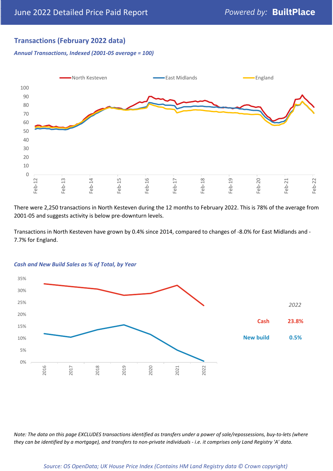### **Transactions (February 2022 data)**

*Annual Transactions, Indexed (2001-05 average = 100)*



There were 2,250 transactions in North Kesteven during the 12 months to February 2022. This is 78% of the average from 2001-05 and suggests activity is below pre-downturn levels.

Transactions in North Kesteven have grown by 0.4% since 2014, compared to changes of -8.0% for East Midlands and - 7.7% for England.



#### *Cash and New Build Sales as % of Total, by Year*

*Note: The data on this page EXCLUDES transactions identified as transfers under a power of sale/repossessions, buy-to-lets (where they can be identified by a mortgage), and transfers to non-private individuals - i.e. it comprises only Land Registry 'A' data.*